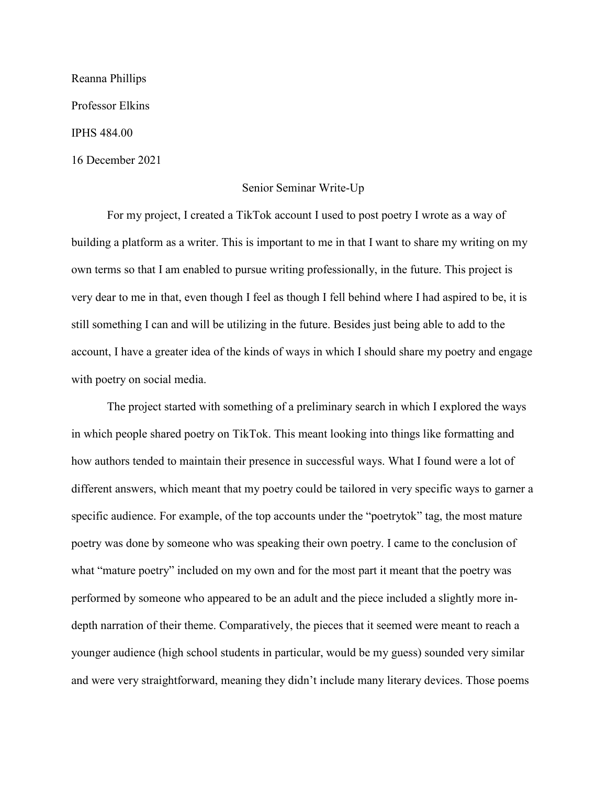Reanna Phillips Professor Elkins IPHS 484.00 16 December 2021

## Senior Seminar Write-Up

For my project, I created a TikTok account I used to post poetry I wrote as a way of building a platform as a writer. This is important to me in that I want to share my writing on my own terms so that I am enabled to pursue writing professionally, in the future. This project is very dear to me in that, even though I feel as though I fell behind where I had aspired to be, it is still something I can and will be utilizing in the future. Besides just being able to add to the account, I have a greater idea of the kinds of ways in which I should share my poetry and engage with poetry on social media.

The project started with something of a preliminary search in which I explored the ways in which people shared poetry on TikTok. This meant looking into things like formatting and how authors tended to maintain their presence in successful ways. What I found were a lot of different answers, which meant that my poetry could be tailored in very specific ways to garner a specific audience. For example, of the top accounts under the "poetrytok" tag, the most mature poetry was done by someone who was speaking their own poetry. I came to the conclusion of what "mature poetry" included on my own and for the most part it meant that the poetry was performed by someone who appeared to be an adult and the piece included a slightly more indepth narration of their theme. Comparatively, the pieces that it seemed were meant to reach a younger audience (high school students in particular, would be my guess) sounded very similar and were very straightforward, meaning they didn't include many literary devices. Those poems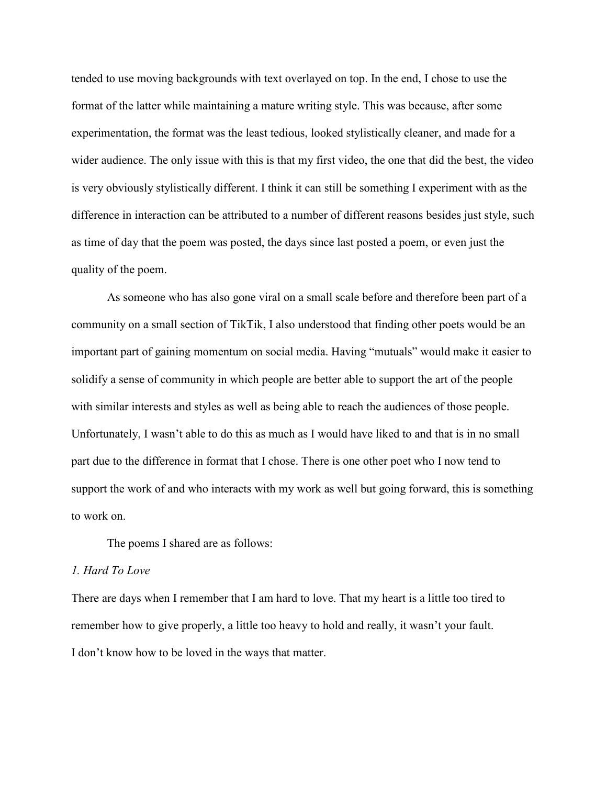tended to use moving backgrounds with text overlayed on top. In the end, I chose to use the format of the latter while maintaining a mature writing style. This was because, after some experimentation, the format was the least tedious, looked stylistically cleaner, and made for a wider audience. The only issue with this is that my first video, the one that did the best, the video is very obviously stylistically different. I think it can still be something I experiment with as the difference in interaction can be attributed to a number of different reasons besides just style, such as time of day that the poem was posted, the days since last posted a poem, or even just the quality of the poem.

As someone who has also gone viral on a small scale before and therefore been part of a community on a small section of TikTik, I also understood that finding other poets would be an important part of gaining momentum on social media. Having "mutuals" would make it easier to solidify a sense of community in which people are better able to support the art of the people with similar interests and styles as well as being able to reach the audiences of those people. Unfortunately, I wasn't able to do this as much as I would have liked to and that is in no small part due to the difference in format that I chose. There is one other poet who I now tend to support the work of and who interacts with my work as well but going forward, this is something to work on.

The poems I shared are as follows:

#### *1. Hard To Love*

There are days when I remember that I am hard to love. That my heart is a little too tired to remember how to give properly, a little too heavy to hold and really, it wasn't your fault. I don't know how to be loved in the ways that matter.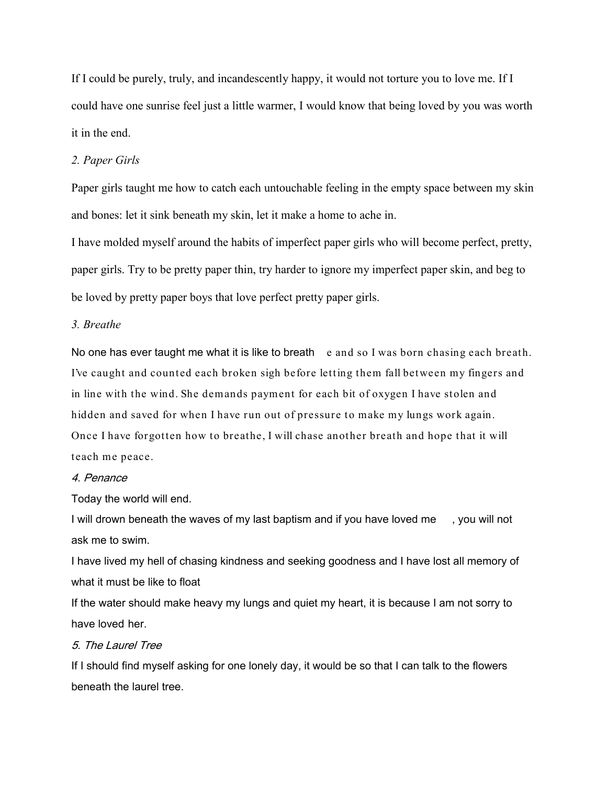If I could be purely, truly, and incandescently happy, it would not torture you to love me. If I could have one sunrise feel just a little warmer, I would know that being loved by you was worth it in the end.

## *2. Paper Girls*

Paper girls taught me how to catch each untouchable feeling in the empty space between my skin and bones: let it sink beneath my skin, let it make a home to ache in.

I have molded myself around the habits of imperfect paper girls who will become perfect, pretty, paper girls. Try to be pretty paper thin, try harder to ignore my imperfect paper skin, and beg to be loved by pretty paper boys that love perfect pretty paper girls.

# *3. Breathe*

No one has ever taught me what it is like to breath e and so I was born chasing each breath. I've caught and counted each broken sigh before letting them fall between my fingers and in line with the wind. She demands payment for each bit of oxygen I have stolen and hidden and saved for when I have run out of pressure to make my lungs work again. Once I have forgotten how to breathe, I will chase another breath and hope that it will teach me peace.

#### 4. Penance

Today the world will end.

I will drown beneath the waves of my last baptism and if you have loved me , you will not ask me to swim.

I have lived my hell of chasing kindness and seeking goodness and I have lost all memory of what it must be like to float

If the water should make heavy my lungs and quiet my heart, it is because I am not sorry to have loved her.

# 5. The Laurel Tree

If I should find myself asking for one lonely day, it would be so that I can talk to the flowers beneath the laurel tree.